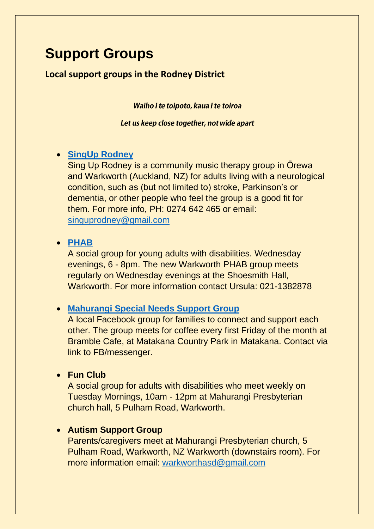# **Support Groups**

# **Local support groups in the Rodney District**

Waiho i te toipoto, kaua i te toiroa

Let us keep close together, not wide apart

## • **[SingUp Rodney](https://www.facebook.com/SingUpRodneyNZ/)**

Sing Up Rodney is a community music therapy group in Ōrewa and Warkworth (Auckland, NZ) for adults living with a neurological condition, such as (but not limited to) stroke, Parkinson's or dementia, or other people who feel the group is a good fit for them. For more info, PH: 0274 642 465 or email: [singuprodney@gmail.com](mailto:singuprodney@gmail.com)

#### • **[PHAB](https://www.phab.org.nz/)**

A social group for young adults with disabilities. Wednesday evenings, 6 - 8pm. The new Warkworth PHAB group meets regularly on Wednesday evenings at the Shoesmith Hall, Warkworth. For more information contact Ursula: 021-1382878

## • **Mahurangi Special [Needs Support Group](https://www.facebook.com/groups/911356696381970)**

A local Facebook group for families to connect and support each other. The group meets for coffee every first Friday of the month at Bramble Cafe, at Matakana Country Park in Matakana. Contact via link to FB/messenger.

## • **Fun Club**

A social group for adults with disabilities who meet weekly on Tuesday Mornings, 10am - 12pm at Mahurangi Presbyterian church hall, 5 Pulham Road, Warkworth.

## • **Autism Support Group**

Parents/caregivers meet at Mahurangi Presbyterian church, 5 Pulham Road, Warkworth, NZ Warkworth (downstairs room). For more information email: [warkworthasd@gmail.com](mailto:warkworthasd@gmail.com)